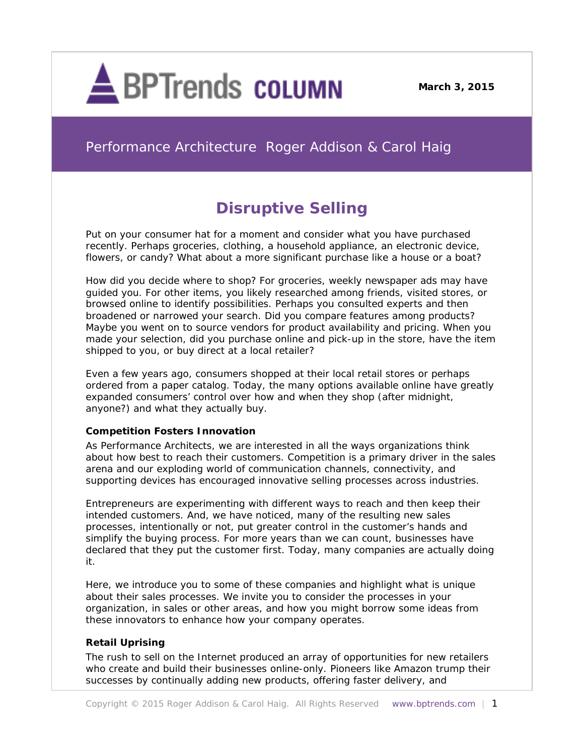

**March 3, 2015**

# Performance Architecture Roger Addison & Carol Haig

# **Disruptive Selling**

Put on your consumer hat for a moment and consider what you have purchased recently. Perhaps groceries, clothing, a household appliance, an electronic device, flowers, or candy? What about a more significant purchase like a house or a boat?

How did you decide where to shop? For groceries, weekly newspaper ads may have guided you. For other items, you likely researched among friends, visited stores, or browsed online to identify possibilities. Perhaps you consulted experts and then broadened or narrowed your search. Did you compare features among products? Maybe you went on to source vendors for product availability and pricing. When you made your selection, did you purchase online and pick-up in the store, have the item shipped to you, or buy direct at a local retailer?

Even a few years ago, consumers shopped at their local retail stores or perhaps ordered from a paper catalog. Today, the many options available online have greatly expanded consumers' control over how and when they shop (after midnight, anyone?) and what they actually buy.

# *Competition Fosters Innovation*

As Performance Architects, we are interested in all the ways organizations think about how best to reach their customers. Competition is a primary driver in the sales arena and our exploding world of communication channels, connectivity, and supporting devices has encouraged innovative selling processes across industries.

Entrepreneurs are experimenting with different ways to reach and then keep their intended customers. And, we have noticed, many of the resulting new sales processes, intentionally or not, put greater control in the customer's hands and simplify the buying process. For more years than we can count, businesses have declared that they put the customer first. Today, many companies are actually doing it.

Here, we introduce you to some of these companies and highlight what is unique about their sales processes. We invite you to consider the processes in your organization, in sales or other areas, and how you might borrow some ideas from these innovators to enhance how your company operates.

# *Retail Uprising*

The rush to sell on the Internet produced an array of opportunities for new retailers who create and build their businesses online-only. Pioneers like Amazon trump their successes by continually adding new products, offering faster delivery, and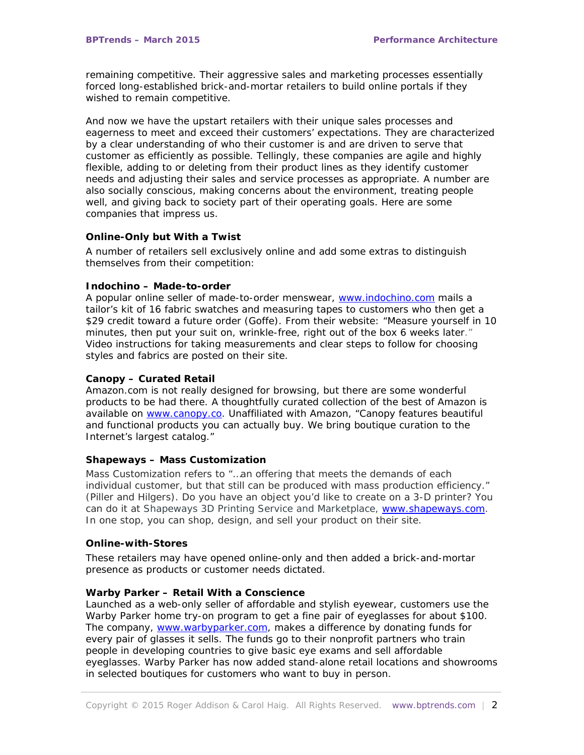remaining competitive. Their aggressive sales and marketing processes essentially forced long-established brick-and-mortar retailers to build online portals if they wished to remain competitive.

And now we have the upstart retailers with their unique sales processes and eagerness to meet and exceed their customers' expectations. They are characterized by a clear understanding of who their customer is and are driven to serve that customer as efficiently as possible. Tellingly, these companies are agile and highly flexible, adding to or deleting from their product lines as they identify customer needs and adjusting their sales and service processes as appropriate. A number are also socially conscious, making concerns about the environment, treating people well, and giving back to society part of their operating goals. Here are some companies that impress us.

#### *Online-Only but With a Twist*

A number of retailers sell exclusively online and add some extras to distinguish themselves from their competition:

#### *Indochino –* **Made-to-order**

A popular online seller of made-to-order menswear, [www.indochino.com](http://www.indochino.com/) mails a tailor's kit of 16 fabric swatches and measuring tapes to customers who then get a \$29 credit toward a future order (Goffe). From their website: "Measure yourself in 10 minutes, then put your suit on, wrinkle-free, right out of the box 6 weeks later." Video instructions for taking measurements and clear steps to follow for choosing styles and fabrics are posted on their site.

#### *Canopy –* **Curated Retail**

Amazon.com is not really designed for browsing, but there are some wonderful products to be had there. A thoughtfully curated collection of the best of Amazon is available on [www.canopy.co.](http://www.canopy.co/) Unaffiliated with Amazon, "Canopy features beautiful and functional products you can actually buy. We bring boutique curation to the Internet's largest catalog."

# **Shapeways –** *Mass Customization*

Mass Customization refers to "…an offering that meets the demands of each individual customer, but that still can be produced with mass production efficiency." (Piller and Hilgers). Do you have an object you'd like to create on a 3-D printer? You can do it at Shapeways 3D Printing Service and Marketplace, [www.shapeways.com.](http://www.shapeways.com/) In one stop, you can shop, design, and sell your product on their site.

#### *Online-with-Stores*

These retailers may have opened online-only and then added a brick-and-mortar presence as products or customer needs dictated.

# *Warby Parker –* **Retail With a Conscience**

Launched as a web-only seller of affordable and stylish eyewear, customers use the Warby Parker home try-on program to get a fine pair of eyeglasses for about \$100. The company, [www.warbyparker.com,](http://www.warbyparker.com/) makes a difference by donating funds for every pair of glasses it sells. The funds go to their nonprofit partners who train people in developing countries to give basic eye exams and sell affordable eyeglasses. Warby Parker has now added stand-alone retail locations and showrooms in selected boutiques for customers who want to buy in person.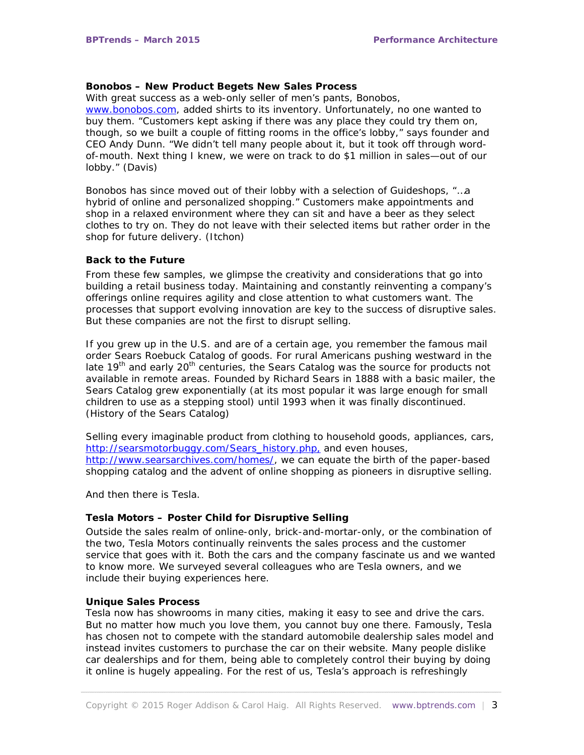#### *Bonobos –* **New Product Begets New Sales Process**

With great success as a web-only seller of men's pants, Bonobos, [www.bonobos.com,](http://www.bonobos.com/) added shirts to its inventory. Unfortunately, no one wanted to buy them. "Customers kept asking if there was any place they could try them on, though, so we built a couple of fitting rooms in the office's lobby," says founder and CEO Andy Dunn. "We didn't tell many people about it, but it took off through wordof-mouth. Next thing I knew, we were on track to do \$1 million in sales—out of our lobby." (Davis)

Bonobos has since moved out of their lobby with a selection of *Guideshops,* "…a hybrid of online and personalized shopping." Customers make appointments and shop in a relaxed environment where they can sit and have a beer as they select clothes to try on. They do not leave with their selected items but rather order in the shop for future delivery. (Itchon)

#### *Back to the Future*

From these few samples, we glimpse the creativity and considerations that go into building a retail business today. Maintaining and constantly reinventing a company's offerings online requires agility and close attention to what customers want. The processes that support evolving innovation are key to the success of disruptive sales. But these companies are not the first to disrupt selling.

If you grew up in the U.S. and are of a certain age, you remember the famous mail order Sears Roebuck Catalog of goods. For rural Americans pushing westward in the late 19<sup>th</sup> and early 20<sup>th</sup> centuries, the Sears Catalog was the source for products not available in remote areas. Founded by Richard Sears in 1888 with a basic mailer, the Sears Catalog grew exponentially (at its most popular it was large enough for small children to use as a stepping stool) until 1993 when it was finally discontinued. (History of the Sears Catalog)

Selling every imaginable product from clothing to household goods, appliances, cars, [http://searsmotorbuggy.com/Sears\\_history.php,](http://searsmotorbuggy.com/Sears_history.php) and even houses, [http://www.searsarchives.com/homes/,](http://www.searsarchives.com/homes/) we can equate the birth of the paper-based shopping catalog and the advent of online shopping as pioneers in disruptive selling.

And then there is Tesla.

#### *Tesla Motors – Poster Child for Disruptive Selling*

Outside the sales realm of online-only, brick-and-mortar-only, or the combination of the two, Tesla Motors continually reinvents the sales process and the customer service that goes with it. Both the cars and the company fascinate us and we wanted to know more. We surveyed several colleagues who are Tesla owners, and we include their buying experiences here.

#### **Unique Sales Process**

Tesla now has showrooms in many cities, making it easy to see and drive the cars. But no matter how much you love them, you cannot buy one there. Famously, Tesla has chosen not to compete with the standard automobile dealership sales model and instead invites customers to purchase the car on their website. Many people dislike car dealerships and for them, being able to completely control their buying by doing it online is hugely appealing. For the rest of us, Tesla's approach is refreshingly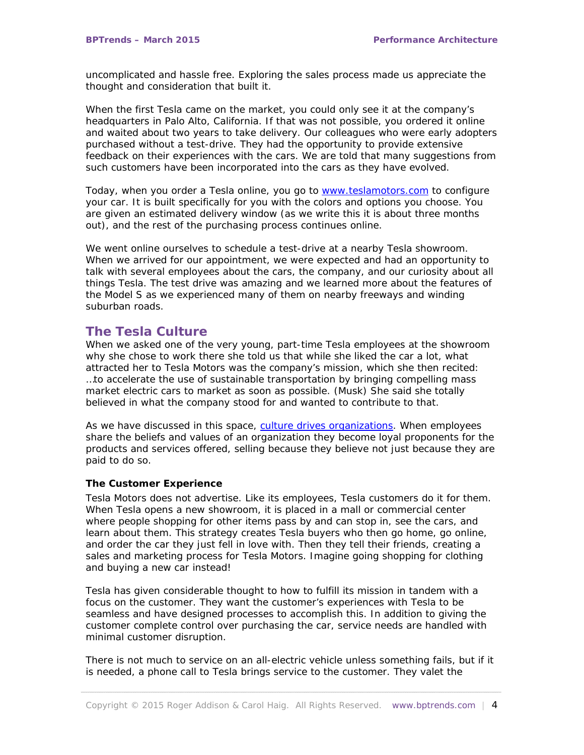uncomplicated and hassle free. Exploring the sales process made us appreciate the thought and consideration that built it.

When the first Tesla came on the market, you could only see it at the company's headquarters in Palo Alto, California. If that was not possible, you ordered it online and waited about two years to take delivery. Our colleagues who were early adopters purchased without a test-drive. They had the opportunity to provide extensive feedback on their experiences with the cars. We are told that many suggestions from such customers have been incorporated into the cars as they have evolved.

Today, when you order a Tesla online, you go to [www.teslamotors.com](http://www.teslamotors.com/) to configure your car. It is built specifically for you with the colors and options you choose. You are given an estimated delivery window (as we write this it is about three months out), and the rest of the purchasing process continues online.

We went online ourselves to schedule a test-drive at a nearby Tesla showroom. When we arrived for our appointment, we were expected and had an opportunity to talk with several employees about the cars, the company, and our curiosity about all things Tesla. The test drive was amazing and we learned more about the features of the Model S as we experienced many of them on nearby freeways and winding suburban roads.

# **The Tesla Culture**

When we asked one of the very young, part-time Tesla employees at the showroom why she chose to work there she told us that while she liked the car a lot, what attracted her to Tesla Motors was the company's mission, which she then recited: …to accelerate the use of sustainable transportation by bringing compelling mass market electric cars to market as soon as possible. (Musk) She said she totally believed in what the company stood for and wanted to contribute to that.

As we have discussed in this space, [culture drives organizations.](http://www.bptrends.com/performance-architecture-how-work-gets-done-the-culture-audit/) When employees share the beliefs and values of an organization they become loyal proponents for the products and services offered, selling because they believe not just because they are paid to do so.

# *The Customer Experience*

Tesla Motors does not advertise. Like its employees, Tesla customers do it for them. When Tesla opens a new showroom, it is placed in a mall or commercial center where people shopping for other items pass by and can stop in, see the cars, and learn about them. This strategy creates Tesla buyers who then go home, go online, and order the car they just fell in love with. Then they tell their friends, creating a sales and marketing process for Tesla Motors. Imagine going shopping for clothing and buying a new car instead!

Tesla has given considerable thought to how to fulfill its mission in tandem with a focus on the customer. They want the customer's experiences with Tesla to be seamless and have designed processes to accomplish this. In addition to giving the customer complete control over purchasing the car, service needs are handled with minimal customer disruption.

There is not much to service on an all-electric vehicle unless something fails, but if it is needed, a phone call to Tesla brings service to the customer. They valet the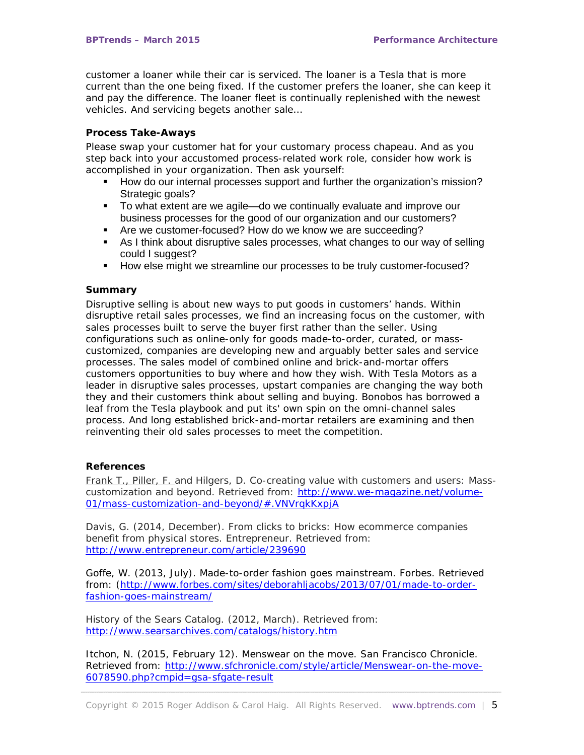customer a loaner while their car is serviced. The loaner is a Tesla that is more current than the one being fixed. If the customer prefers the loaner, she can keep it and pay the difference. The loaner fleet is continually replenished with the newest vehicles. And servicing begets another sale…

### *Process Take-Aways*

Please swap your customer hat for your customary process chapeau. And as you step back into your accustomed process-related work role, consider how work is accomplished in your organization. Then ask yourself:

- How do our internal processes support and further the organization's mission? Strategic goals?
- To what extent are we agile—do we continually evaluate and improve our business processes for the good of our organization and our customers?
- Are we customer-focused? How do we know we are succeeding?
- As I think about disruptive sales processes, what changes to our way of selling could I suggest?
- How else might we streamline our processes to be truly customer-focused?

#### *Summary*

Disruptive selling is about new ways to put goods in customers' hands. Within disruptive retail sales processes, we find an increasing focus on the customer, with sales processes built to serve the buyer first rather than the seller. Using configurations such as online-only for goods made-to-order, curated, or masscustomized, companies are developing new and arguably better sales and service processes. The sales model of combined online and brick-and-mortar offers customers opportunities to buy where and how they wish. With Tesla Motors as a leader in disruptive sales processes, upstart companies are changing the way both they and their customers think about selling and buying. Bonobos has borrowed a leaf from the Tesla playbook and put its' own spin on the omni-channel sales process. And long established brick-and-mortar retailers are examining and then reinventing their old sales processes to meet the competition.

# *References*

[Frank T., Piller, F. a](http://www.aib.wiso.tu-muenchen.de/piller/)nd Hilgers, D. Co-creating value with customers and users: Masscustomization and beyond. Retrieved from: [http://www.we-magazine.net/volume-](http://www.we-magazine.net/volume-01/mass-customization-and-beyond/#.VNVrqkKxpjA)[01/mass-customization-and-beyond/#.VNVrqkKxpjA](http://www.we-magazine.net/volume-01/mass-customization-and-beyond/#.VNVrqkKxpjA)

Davis, G. (2014, December). From clicks to bricks: How ecommerce companies benefit from physical stores. *Entrepreneur*. Retrieved from: <http://www.entrepreneur.com/article/239690>

Goffe, W. (2013, July). Made-to-order fashion goes mainstream. *Forbes.* Retrieved from: [\(http://www.forbes.com/sites/deborahljacobs/2013/07/01/made-to-order](http://www.forbes.com/sites/deborahljacobs/2013/07/01/made-to-order-fashion-goes-mainstream/)[fashion-goes-mainstream/](http://www.forbes.com/sites/deborahljacobs/2013/07/01/made-to-order-fashion-goes-mainstream/)

History of the Sears Catalog. (2012, March). Retrieved from: <http://www.searsarchives.com/catalogs/history.htm>

Itchon, N. (2015, February 12). Menswear on the move. *San Francisco Chronicle.*  Retrieved from: [http://www.sfchronicle.com/style/article/Menswear-on-the-move-](http://www.sfchronicle.com/style/article/Menswear-on-the-move-6078590.php?cmpid=gsa-sfgate-result)[6078590.php?cmpid=gsa-sfgate-result](http://www.sfchronicle.com/style/article/Menswear-on-the-move-6078590.php?cmpid=gsa-sfgate-result)